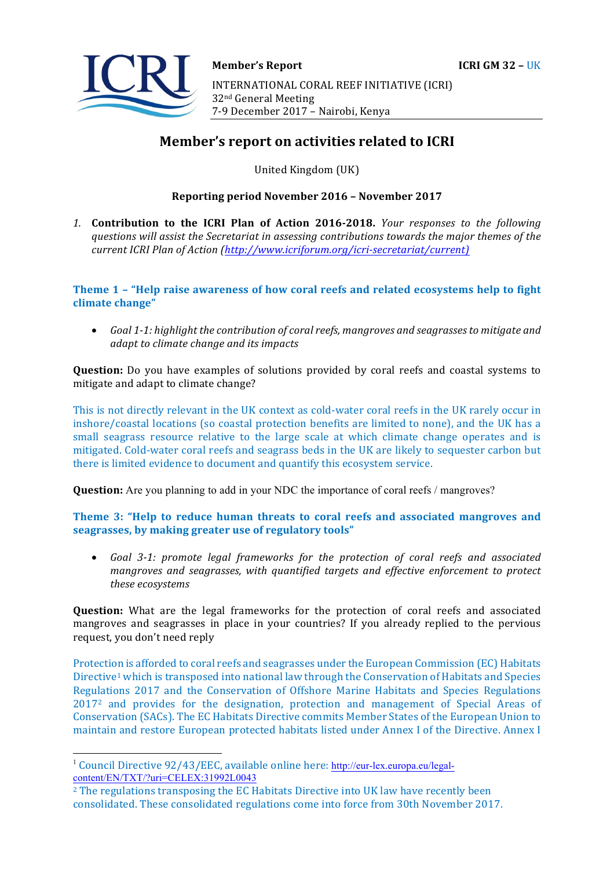

# **Member's report on activities related to ICRI**

United Kingdom (UK)

#### **Reporting period November 2016 – November 2017**

1. **Contribution to the ICRI Plan of Action 2016-2018.** *Your responses to the following* questions will assist the Secretariat in assessing contributions towards the major themes of the *current ICRI Plan of Action (http://www.icriforum.org/icri-secretariat/current)* 

**Theme 1 - "Help raise awareness of how coral reefs and related ecosystems help to fight** climate change"

• Goal 1-1: highlight the contribution of coral reefs, mangroves and seagrasses to mitigate and *adapt* to climate change and its impacts

**Question:** Do you have examples of solutions provided by coral reefs and coastal systems to mitigate and adapt to climate change?

This is not directly relevant in the UK context as cold-water coral reefs in the UK rarely occur in inshore/coastal locations (so coastal protection benefits are limited to none), and the UK has a small seagrass resource relative to the large scale at which climate change operates and is mitigated. Cold-water coral reefs and seagrass beds in the UK are likely to sequester carbon but there is limited evidence to document and quantify this ecosystem service.

**Question:** Are you planning to add in your NDC the importance of coral reefs / mangroves?

Theme 3: "Help to reduce human threats to coral reefs and associated mangroves and seagrasses, by making greater use of regulatory tools"

• Goal 3-1: promote legal frameworks for the protection of coral reefs and associated *mangroves and seagrasses, with quantified targets and effective enforcement to protect these ecosystems* 

**Question:** What are the legal frameworks for the protection of coral reefs and associated mangroves and seagrasses in place in your countries? If you already replied to the pervious request, you don't need reply

Protection is afforded to coral reefs and seagrasses under the European Commission (EC) Habitats Directive<sup>1</sup> which is transposed into national law through the Conservation of Habitats and Species Regulations 2017 and the Conservation of Offshore Marine Habitats and Species Regulations 2017<sup>2</sup> and provides for the designation, protection and management of Special Areas of Conservation (SACs). The EC Habitats Directive commits Member States of the European Union to maintain and restore European protected habitats listed under Annex I of the Directive. Annex I

<sup>&</sup>lt;sup>1</sup> Council Directive 92/43/EEC, available online here: http://eur-lex.europa.eu/legalcontent/EN/TXT/?uri=CELEX:31992L0043

 $2$  The regulations transposing the EC Habitats Directive into UK law have recently been consolidated. These consolidated regulations come into force from 30th November 2017.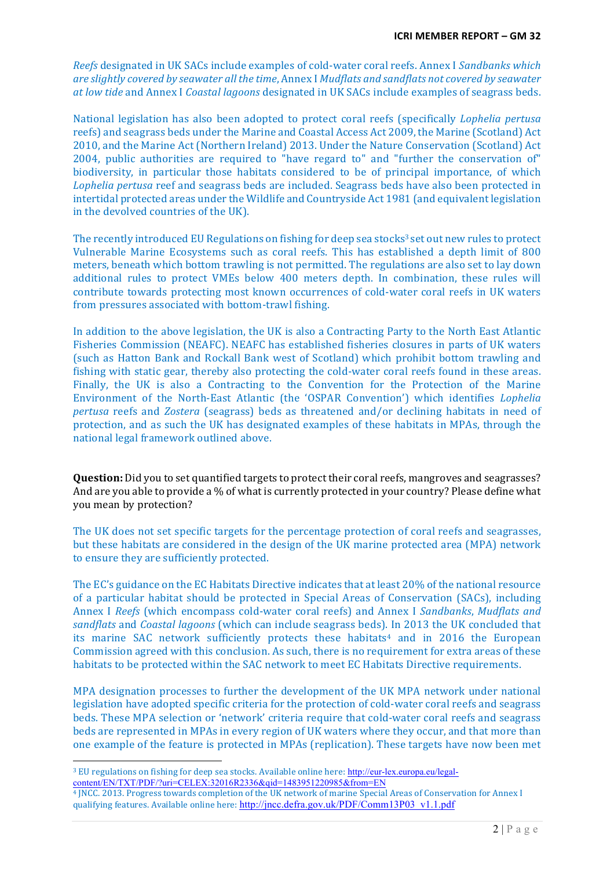*Reefs* designated in UK SACs include examples of cold-water coral reefs. Annex I *Sandbanks which are slightly covered by seawater all the time, Annex I Mudflats and sandflats not covered by seawater at low tide* and Annex I *Coastal lagoons* designated in UK SACs include examples of seagrass beds.

National legislation has also been adopted to protect coral reefs (specifically *Lophelia pertusa* reefs) and seagrass beds under the Marine and Coastal Access Act 2009, the Marine (Scotland) Act 2010, and the Marine Act (Northern Ireland) 2013. Under the Nature Conservation (Scotland) Act 2004, public authorities are required to "have regard to" and "further the conservation of" biodiversity, in particular those habitats considered to be of principal importance, of which Lophelia pertusa reef and seagrass beds are included. Seagrass beds have also been protected in intertidal protected areas under the Wildlife and Countryside Act 1981 (and equivalent legislation in the devolved countries of the UK).

The recently introduced EU Regulations on fishing for deep sea stocks<sup>3</sup> set out new rules to protect Vulnerable Marine Ecosystems such as coral reefs. This has established a depth limit of 800 meters, beneath which bottom trawling is not permitted. The regulations are also set to lay down additional rules to protect VMEs below 400 meters depth. In combination, these rules will contribute towards protecting most known occurrences of cold-water coral reefs in UK waters from pressures associated with bottom-trawl fishing.

In addition to the above legislation, the UK is also a Contracting Party to the North East Atlantic Fisheries Commission (NEAFC). NEAFC has established fisheries closures in parts of UK waters (such as Hatton Bank and Rockall Bank west of Scotland) which prohibit bottom trawling and fishing with static gear, thereby also protecting the cold-water coral reefs found in these areas. Finally, the UK is also a Contracting to the Convention for the Protection of the Marine Environment of the North-East Atlantic (the 'OSPAR Convention') which identifies *Lophelia pertusa* reefs and *Zostera* (seagrass) beds as threatened and/or declining habitats in need of protection, and as such the UK has designated examples of these habitats in MPAs, through the national legal framework outlined above.

**Question:** Did you to set quantified targets to protect their coral reefs, mangroves and seagrasses? And are you able to provide a % of what is currently protected in your country? Please define what you mean by protection?

The UK does not set specific targets for the percentage protection of coral reefs and seagrasses, but these habitats are considered in the design of the UK marine protected area (MPA) network to ensure they are sufficiently protected.

The EC's guidance on the EC Habitats Directive indicates that at least 20% of the national resource of a particular habitat should be protected in Special Areas of Conservation (SACs), including Annex I *Reefs* (which encompass cold-water coral reefs) and Annex I *Sandbanks*, *Mudflats and* sandflats and *Coastal lagoons* (which can include seagrass beds). In 2013 the UK concluded that its marine SAC network sufficiently protects these habitats<sup>4</sup> and in 2016 the European Commission agreed with this conclusion. As such, there is no requirement for extra areas of these habitats to be protected within the SAC network to meet EC Habitats Directive requirements.

MPA designation processes to further the development of the UK MPA network under national legislation have adopted specific criteria for the protection of cold-water coral reefs and seagrass beds. These MPA selection or 'network' criteria require that cold-water coral reefs and seagrass beds are represented in MPAs in every region of UK waters where they occur, and that more than one example of the feature is protected in MPAs (replication). These targets have now been met

<sup>&</sup>lt;sup>3</sup> EU regulations on fishing for deep sea stocks. Available online here: http://eur-lex.europa.eu/legalcontent/EN/TXT/PDF/?uri=CELEX:32016R2336&qid=1483951220985&from=EN

<sup>&</sup>lt;sup>4</sup> JNCC. 2013. Progress towards completion of the UK network of marine Special Areas of Conservation for Annex I qualifying features. Available online here: http://jncc.defra.gov.uk/PDF/Comm13P03\_v1.1.pdf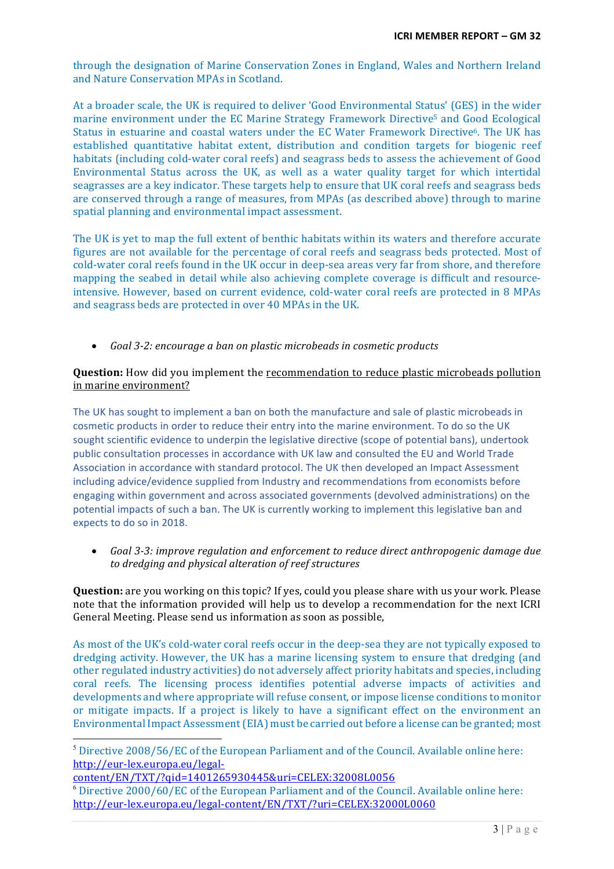through the designation of Marine Conservation Zones in England, Wales and Northern Ireland and Nature Conservation MPAs in Scotland.

At a broader scale, the UK is required to deliver 'Good Environmental Status' (GES) in the wider marine environment under the EC Marine Strategy Framework Directive<sup>5</sup> and Good Ecological Status in estuarine and coastal waters under the EC Water Framework Directive<sup>6</sup>. The UK has established quantitative habitat extent, distribution and condition targets for biogenic reef habitats (including cold-water coral reefs) and seagrass beds to assess the achievement of Good Environmental Status across the UK, as well as a water quality target for which intertidal seagrasses are a key indicator. These targets help to ensure that UK coral reefs and seagrass beds are conserved through a range of measures, from MPAs (as described above) through to marine spatial planning and environmental impact assessment.

The UK is yet to map the full extent of benthic habitats within its waters and therefore accurate figures are not available for the percentage of coral reefs and seagrass beds protected. Most of cold-water coral reefs found in the UK occur in deep-sea areas very far from shore, and therefore mapping the seabed in detail while also achieving complete coverage is difficult and resourceintensive. However, based on current evidence, cold-water coral reefs are protected in 8 MPAs and seagrass beds are protected in over 40 MPAs in the UK.

• Goal 3-2: encourage a ban on plastic microbeads in cosmetic products

## **Question:** How did you implement the recommendation to reduce plastic microbeads pollution in marine environment?

The UK has sought to implement a ban on both the manufacture and sale of plastic microbeads in cosmetic products in order to reduce their entry into the marine environment. To do so the UK sought scientific evidence to underpin the legislative directive (scope of potential bans), undertook public consultation processes in accordance with UK law and consulted the EU and World Trade Association in accordance with standard protocol. The UK then developed an Impact Assessment including advice/evidence supplied from Industry and recommendations from economists before engaging within government and across associated governments (devolved administrations) on the potential impacts of such a ban. The UK is currently working to implement this legislative ban and expects to do so in 2018.

• Goal 3-3: improve regulation and enforcement to reduce direct anthropogenic damage due *to dredging and physical alteration of reef structures* 

**Question:** are you working on this topic? If yes, could you please share with us your work. Please note that the information provided will help us to develop a recommendation for the next ICRI General Meeting. Please send us information as soon as possible.

As most of the UK's cold-water coral reefs occur in the deep-sea they are not typically exposed to dredging activity. However, the UK has a marine licensing system to ensure that dredging (and other regulated industry activities) do not adversely affect priority habitats and species, including coral reefs. The licensing process identifies potential adverse impacts of activities and developments and where appropriate will refuse consent, or impose license conditions to monitor or mitigate impacts. If a project is likely to have a significant effect on the environment an Environmental Impact Assessment (EIA) must be carried out before a license can be granted; most

 $<sup>5</sup>$  Directive 2008/56/EC of the European Parliament and of the Council. Available online here:</sup> http://eur-lex.europa.eu/legal-

content/EN/TXT/?qid=1401265930445&uri=CELEX:32008L0056

<sup>&</sup>lt;sup>6</sup> Directive 2000/60/EC of the European Parliament and of the Council. Available online here: http://eur-lex.europa.eu/legal-content/EN/TXT/?uri=CELEX:32000L0060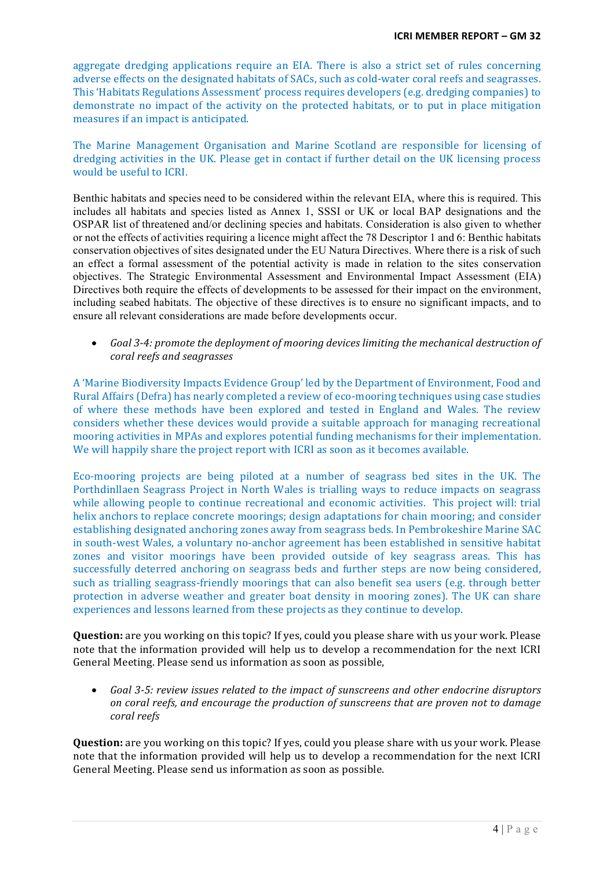aggregate dredging applications require an EIA. There is also a strict set of rules concerning adverse effects on the designated habitats of SACs, such as cold-water coral reefs and seagrasses. This 'Habitats Regulations Assessment' process requires developers (e.g. dredging companies) to demonstrate no impact of the activity on the protected habitats, or to put in place mitigation measures if an impact is anticipated.

The Marine Management Organisation and Marine Scotland are responsible for licensing of dredging activities in the UK. Please get in contact if further detail on the UK licensing process would be useful to ICRI.

Benthic habitats and species need to be considered within the relevant EIA, where this is required. This includes all habitats and species listed as Annex 1, SSSI or UK or local BAP designations and the OSPAR list of threatened and/or declining species and habitats. Consideration is also given to whether or not the effects of activities requiring a licence might affect the 78 Descriptor 1 and 6: Benthic habitats conservation objectives of sites designated under the EU Natura Directives. Where there is a risk of such an effect a formal assessment of the potential activity is made in relation to the sites conservation objectives. The Strategic Environmental Assessment and Environmental Impact Assessment (EIA) Directives both require the effects of developments to be assessed for their impact on the environment. including seabed habitats. The objective of these directives is to ensure no significant impacts, and to ensure all relevant considerations are made before developments occur.

Goal 3-4: promote the deployment of mooring devices limiting the mechanical destruction of *coral reefs and seagrasses* 

A 'Marine Biodiversity Impacts Evidence Group' led by the Department of Environment, Food and Rural Affairs (Defra) has nearly completed a review of eco-mooring techniques using case studies of where these methods have been explored and tested in England and Wales. The review considers whether these devices would provide a suitable approach for managing recreational mooring activities in MPAs and explores potential funding mechanisms for their implementation. We will happily share the project report with ICRI as soon as it becomes available.

Eco-mooring projects are being piloted at a number of seagrass bed sites in the UK. The Porthdinllaen Seagrass Project in North Wales is trialling ways to reduce impacts on seagrass while allowing people to continue recreational and economic activities. This project will: trial helix anchors to replace concrete moorings; design adaptations for chain mooring; and consider establishing designated anchoring zones away from seagrass beds. In Pembrokeshire Marine SAC in south-west Wales, a voluntary no-anchor agreement has been established in sensitive habitat zones and visitor moorings have been provided outside of key seagrass areas. This has successfully deterred anchoring on seagrass beds and further steps are now being considered, such as trialling seagrass-friendly moorings that can also benefit sea users (e.g. through better protection in adverse weather and greater boat density in mooring zones). The UK can share experiences and lessons learned from these projects as they continue to develop.

**Question:** are you working on this topic? If yes, could you please share with us your work. Please note that the information provided will help us to develop a recommendation for the next ICRI General Meeting. Please send us information as soon as possible,

• Goal 3-5: review issues related to the impact of sunscreens and other endocrine disruptors *on* coral reefs, and encourage the production of sunscreens that are proven not to damage *coral reefs* 

**Question:** are you working on this topic? If yes, could you please share with us your work. Please note that the information provided will help us to develop a recommendation for the next ICRI General Meeting. Please send us information as soon as possible.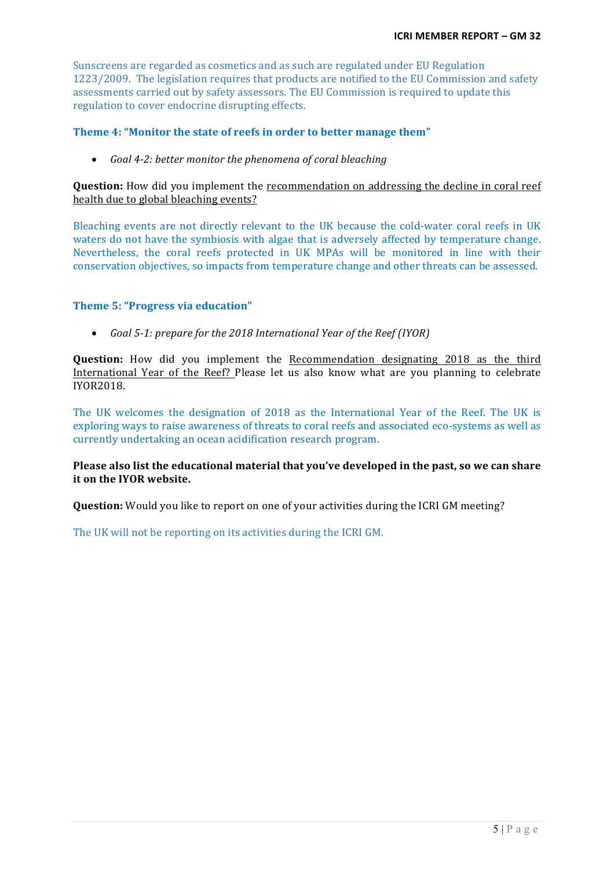Sunscreens are regarded as cosmetics and as such are regulated under EU Regulation 1223/2009. The legislation requires that products are notified to the EU Commission and safety assessments carried out by safety assessors. The EU Commission is required to update this regulation to cover endocrine disrupting effects.

#### **Theme 4: "Monitor the state of reefs in order to better manage them"**

• *Goal 4-2: better monitor the phenomena of coral bleaching* 

**Question:** How did you implement the recommendation on addressing the decline in coral reef health due to global bleaching events?

Bleaching events are not directly relevant to the UK because the cold-water coral reefs in UK waters do not have the symbiosis with algae that is adversely affected by temperature change. Nevertheless, the coral reefs protected in UK MPAs will be monitored in line with their conservation objectives, so impacts from temperature change and other threats can be assessed.

### **Theme 5: "Progress via education"**

• *Goal* 5-1: prepare for the 2018 International Year of the Reef (IYOR)

**Question:** How did you implement the Recommendation designating 2018 as the third International Year of the Reef? Please let us also know what are you planning to celebrate IYOR2018.

The UK welcomes the designation of 2018 as the International Year of the Reef. The UK is exploring ways to raise awareness of threats to coral reefs and associated eco-systems as well as currently undertaking an ocean acidification research program.

**Please also list the educational material that you've developed in the past, so we can share it on the IYOR website.** 

**Question:** Would you like to report on one of your activities during the ICRI GM meeting?

The UK will not be reporting on its activities during the ICRI GM.